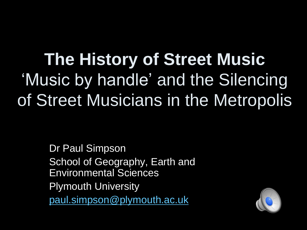**The History of Street Music** 'Music by handle' and the Silencing of Street Musicians in the Metropolis

> Dr Paul Simpson School of Geography, Earth and Environmental Sciences Plymouth University [paul.simpson@plymouth.ac.uk](mailto:paul.simpson@plymouth.ac.uk)

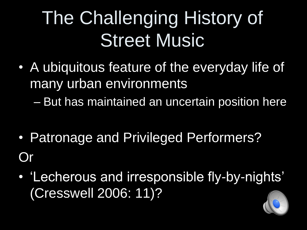## The Challenging History of Street Music

- A ubiquitous feature of the everyday life of many urban environments – But has maintained an uncertain position here
- Patronage and Privileged Performers? Or
- 'Lecherous and irresponsible fly-by-nights' (Cresswell 2006: 11)?

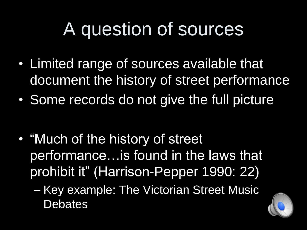#### A question of sources

- Limited range of sources available that document the history of street performance
- Some records do not give the full picture

- "Much of the history of street performance…is found in the laws that prohibit it" (Harrison-Pepper 1990: 22)
	- Key example: The Victorian Street Music **Debates**

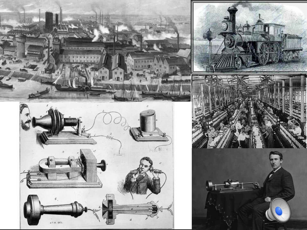

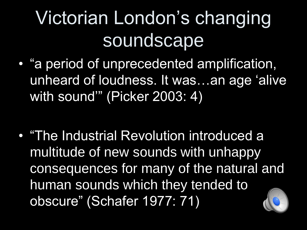## Victorian London's changing soundscape

• "a period of unprecedented amplification, unheard of loudness. It was…an age 'alive with sound'" (Picker 2003: 4)

• "The Industrial Revolution introduced a multitude of new sounds with unhappy consequences for many of the natural and human sounds which they tended to obscure" (Schafer 1977: 71)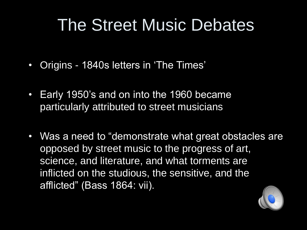#### The Street Music Debates

- Origins 1840s letters in 'The Times'
- Early 1950's and on into the 1960 became particularly attributed to street musicians
- Was a need to "demonstrate what great obstacles are opposed by street music to the progress of art, science, and literature, and what torments are inflicted on the studious, the sensitive, and the afflicted" (Bass 1864: vii).

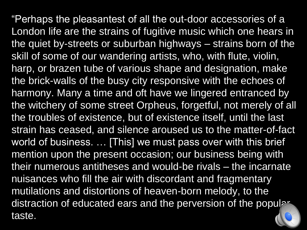"Perhaps the pleasantest of all the out-door accessories of a London life are the strains of fugitive music which one hears in the quiet by-streets or suburban highways – strains born of the skill of some of our wandering artists, who, with flute, violin, harp, or brazen tube of various shape and designation, make the brick-walls of the busy city responsive with the echoes of harmony. Many a time and oft have we lingered entranced by the witchery of some street Orpheus, forgetful, not merely of all the troubles of existence, but of existence itself, until the last strain has ceased, and silence aroused us to the matter-of-fact world of business. … [This] we must pass over with this brief mention upon the present occasion; our business being with their numerous antitheses and would-be rivals – the incarnate nuisances who fill the air with discordant and fragmentary mutilations and distortions of heaven-born melody, to the distraction of educated ears and the perversion of the popular taste.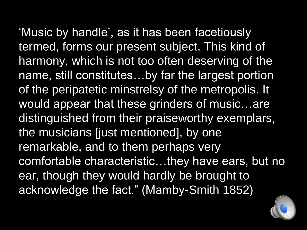'Music by handle', as it has been facetiously termed, forms our present subject. This kind of harmony, which is not too often deserving of the name, still constitutes…by far the largest portion of the peripatetic minstrelsy of the metropolis. It would appear that these grinders of music…are distinguished from their praiseworthy exemplars, the musicians [just mentioned], by one remarkable, and to them perhaps very comfortable characteristic…they have ears, but no ear, though they would hardly be brought to acknowledge the fact." (Mamby-Smith 1852)

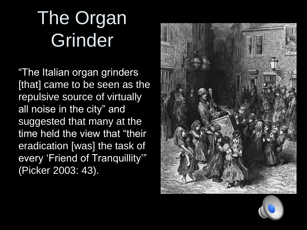## **The Organ** Grinder

"The Italian organ grinders [that] came to be seen as the repulsive source of virtually all noise in the city" and suggested that many at the time held the view that "their eradication [was] the task of every 'Friend of Tranquillity'" (Picker 2003: 43).



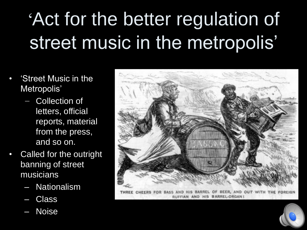# 'Act for the better regulation of street music in the metropolis'

- 'Street Music in the Metropolis'
	- − Collection of letters, official reports, material from the press, and so on.
- Called for the outright banning of street musicians
	- Nationalism
	- Class
	- **Noise**



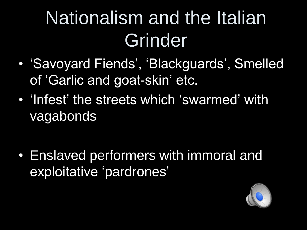## Nationalism and the Italian Grinder

- 'Savoyard Fiends', 'Blackguards', Smelled of 'Garlic and goat-skin' etc.
- 'Infest' the streets which 'swarmed' with vagabonds

• Enslaved performers with immoral and exploitative 'pardrones'

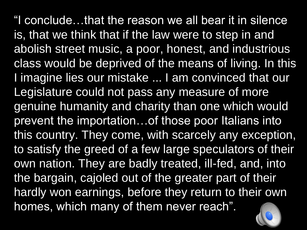"I conclude…that the reason we all bear it in silence is, that we think that if the law were to step in and abolish street music, a poor, honest, and industrious class would be deprived of the means of living. In this I imagine lies our mistake ... I am convinced that our Legislature could not pass any measure of more genuine humanity and charity than one which would prevent the importation…of those poor Italians into this country. They come, with scarcely any exception, to satisfy the greed of a few large speculators of their own nation. They are badly treated, ill-fed, and, into the bargain, cajoled out of the greater part of their hardly won earnings, before they return to their own homes, which many of them never reach".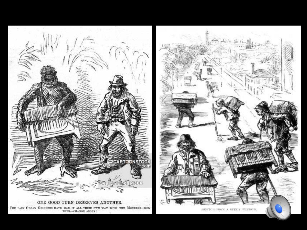

THE LAZY OBSAN GRINDERS HAVE HAD IT ALL THEIR OWN WAY WITH THE MONKEYS-NOW THEN-CHANGE ABOUT !

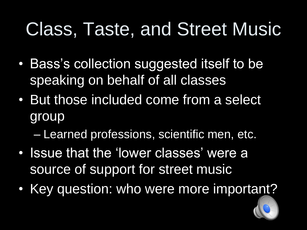## Class, Taste, and Street Music

- Bass's collection suggested itself to be speaking on behalf of all classes
- But those included come from a select group
	- Learned professions, scientific men, etc.
- Issue that the 'lower classes' were a source of support for street music
- Key question: who were more important?

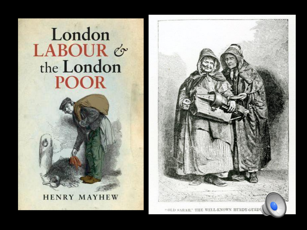# London LABOUR & **POOR**



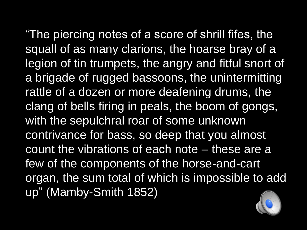"The piercing notes of a score of shrill fifes, the squall of as many clarions, the hoarse bray of a legion of tin trumpets, the angry and fitful snort of a brigade of rugged bassoons, the unintermitting rattle of a dozen or more deafening drums, the clang of bells firing in peals, the boom of gongs, with the sepulchral roar of some unknown contrivance for bass, so deep that you almost count the vibrations of each note – these are a few of the components of the horse-and-cart organ, the sum total of which is impossible to add up" (Mamby-Smith 1852)

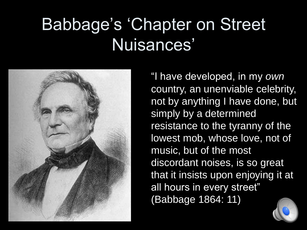#### Babbage's 'Chapter on Street Nuisances'



"I have developed, in my *own* country, an unenviable celebrity, not by anything I have done, but simply by a determined resistance to the tyranny of the lowest mob, whose love, not of music, but of the most discordant noises, is so great that it insists upon enjoying it at all hours in every street" (Babbage 1864: 11)

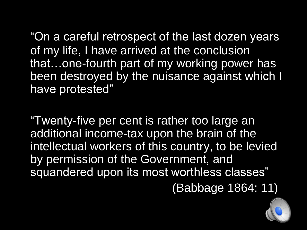"On a careful retrospect of the last dozen years of my life, I have arrived at the conclusion that…one-fourth part of my working power has been destroyed by the nuisance against which I have protested"

"Twenty-five per cent is rather too large an additional income-tax upon the brain of the intellectual workers of this country, to be levied by permission of the Government, and squandered upon its most worthless classes"

(Babbage 1864: 11)

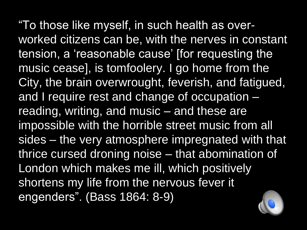"To those like myself, in such health as overworked citizens can be, with the nerves in constant tension, a 'reasonable cause' [for requesting the music cease], is tomfoolery. I go home from the City, the brain overwrought, feverish, and fatigued, and I require rest and change of occupation – reading, writing, and music – and these are impossible with the horrible street music from all sides – the very atmosphere impregnated with that thrice cursed droning noise – that abomination of London which makes me ill, which positively shortens my life from the nervous fever it engenders". (Bass 1864: 8-9)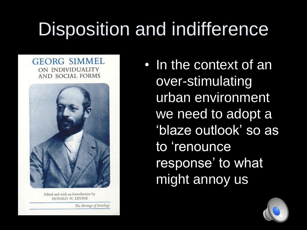#### Disposition and indifference



Edited and with an Introduction by DONALD N. LEVINE

The Heritage of Sociology

• In the context of an over-stimulating urban environment we need to adopt a 'blaze outlook' so as to 'renounce response' to what might annoy us

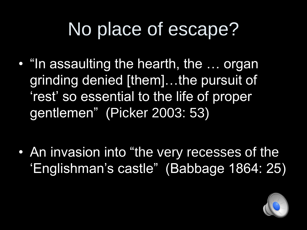## No place of escape?

- "In assaulting the hearth, the ... organ grinding denied [them]…the pursuit of 'rest' so essential to the life of proper gentlemen" (Picker 2003: 53)
- An invasion into "the very recesses of the 'Englishman's castle" (Babbage 1864: 25)

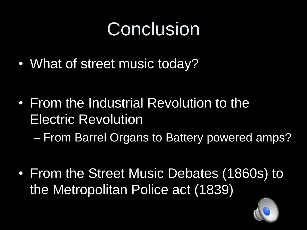## Conclusion

• What of street music today?

- From the Industrial Revolution to the Electric Revolution
	- From Barrel Organs to Battery powered amps?
- From the Street Music Debates (1860s) to the Metropolitan Police act (1839)